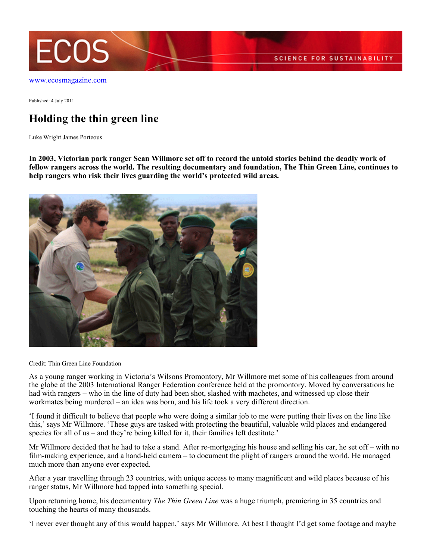

[www.ecosmagazine.com](http://www.ecosmagazine.com)

Published: 4 July 2011

## **Holding the thin green line**

Luke Wright James Porteous

**In 2003, Victorian park ranger Sean Willmore set off to record the untold stories behind the deadly work of fellow rangers across the world. The resulting documentary and foundation, The Thin Green Line, continues to help rangers who risk their lives guarding the world's protected wild areas.**



Credit: Thin Green Line Foundation

As a young ranger working in Victoria's Wilsons Promontory, Mr Willmore met some of his colleagues from around the globe at the 2003 International Ranger Federation conference held at the promontory. Moved by conversations he had with rangers – who in the line of duty had been shot, slashed with machetes, and witnessed up close their workmates being murdered – an idea was born, and his life took a very different direction.

'I found it difficult to believe that people who were doing a similar job to me were putting their lives on the line like this,' says Mr Willmore. 'These guys are tasked with protecting the beautiful, valuable wild places and endangered species for all of us – and they're being killed for it, their families left destitute.'

Mr Willmore decided that he had to take a stand. After re-mortgaging his house and selling his car, he set off – with no film-making experience, and a hand-held camera – to document the plight of rangers around the world. He managed much more than anyone ever expected.

After a year travelling through 23 countries, with unique access to many magnificent and wild places because of his ranger status, Mr Willmore had tapped into something special.

Upon returning home, his documentary *The Thin Green Line* was a huge triumph, premiering in 35 countries and touching the hearts of many thousands.

'I never ever thought any of this would happen,' says Mr Willmore. At best I thought I'd get some footage and maybe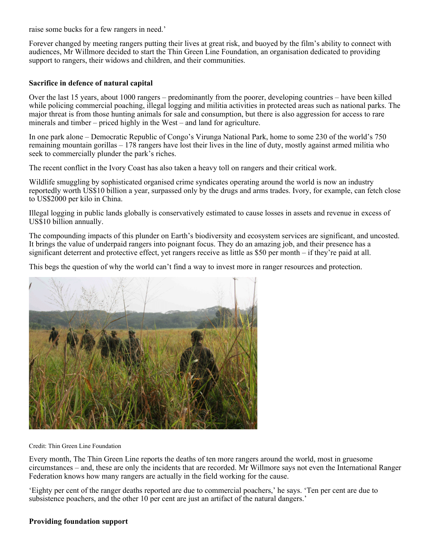raise some bucks for a few rangers in need.'

Forever changed by meeting rangers putting their lives at great risk, and buoyed by the film's ability to connect with audiences, Mr Willmore decided to start the Thin Green Line Foundation, an organisation dedicated to providing support to rangers, their widows and children, and their communities.

## **Sacrifice in defence of natural capital**

Over the last 15 years, about 1000 rangers – predominantly from the poorer, developing countries – have been killed while policing commercial poaching, illegal logging and militia activities in protected areas such as national parks. The major threat is from those hunting animals for sale and consumption, but there is also aggression for access to rare minerals and timber – priced highly in the West – and land for agriculture.

In one park alone – Democratic Republic of Congo's Virunga National Park, home to some 230 of the world's 750 remaining mountain gorillas – 178 rangers have lost their lives in the line of duty, mostly against armed militia who seek to commercially plunder the park's riches.

The recent conflict in the Ivory Coast has also taken a heavy toll on rangers and their critical work.

Wildlife smuggling by sophisticated organised crime syndicates operating around the world is now an industry reportedly worth US\$10 billion a year, surpassed only by the drugs and arms trades. Ivory, for example, can fetch close to US\$2000 per kilo in China.

Illegal logging in public lands globally is conservatively estimated to cause losses in assets and revenue in excess of US\$10 billion annually.

The compounding impacts of this plunder on Earth's biodiversity and ecosystem services are significant, and uncosted. It brings the value of underpaid rangers into poignant focus. They do an amazing job, and their presence has a significant deterrent and protective effect, yet rangers receive as little as \$50 per month – if they're paid at all.

This begs the question of why the world can't find a way to invest more in ranger resources and protection.



Credit: Thin Green Line Foundation

Every month, The Thin Green Line reports the deaths of ten more rangers around the world, most in gruesome circumstances – and, these are only the incidents that are recorded. Mr Willmore says not even the International Ranger Federation knows how many rangers are actually in the field working for the cause.

'Eighty per cent of the ranger deaths reported are due to commercial poachers,' he says. 'Ten per cent are due to subsistence poachers, and the other 10 per cent are just an artifact of the natural dangers.'

## **Providing foundation support**